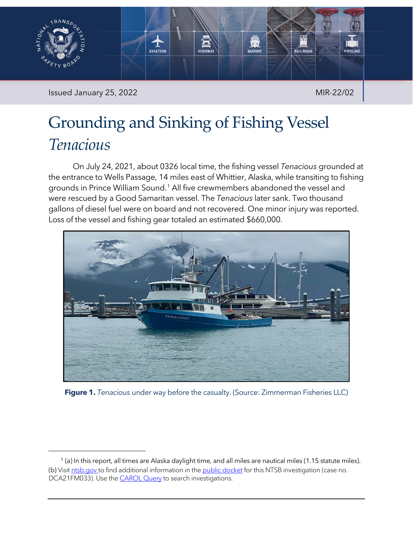

Issued January 25, 2022 MIR-22/02

# Grounding and Sinking of Fishing Vessel *Tenacious*

On July 24, 2021, about 0326 local time, the fishing vessel *Tenacious* grounded at the entrance to Wells Passage, 14 miles east of Whittier, Alaska, while transiting to fishing grounds in Prince William Sound.[1](#page-0-0) All five crewmembers abandoned the vessel and were rescued by a Good Samaritan vessel. The *Tenacious* later sank. Two thousand gallons of diesel fuel were on board and not recovered. One minor injury was reported. Loss of the vessel and fishing gear totaled an estimated \$660,000.



**Figure 1.** *Tenacious* under way before the casualty. (Source: Zimmerman Fisheries LLC)

<span id="page-0-0"></span> $1$  (a) In this report, all times are Alaska daylight time, and all miles are nautical miles (1.15 statute miles). (b) Visit [ntsb.gov](https://www.ntsb.gov/) to find additional information in th[e public docket](https://data.ntsb.gov/Docket/Forms/searchdocket) for this NTSB investigation (case no. DCA21FM033). Use the **CAROL Query** to search investigations.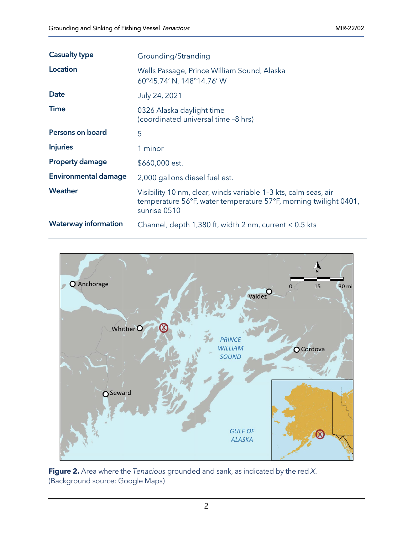| <b>Casualty type</b>        | Grounding/Stranding                                                                                                                                 |
|-----------------------------|-----------------------------------------------------------------------------------------------------------------------------------------------------|
| Location                    | Wells Passage, Prince William Sound, Alaska<br>60°45.74' N, 148°14.76' W                                                                            |
| <b>Date</b>                 | July 24, 2021                                                                                                                                       |
| <b>Time</b>                 | 0326 Alaska daylight time<br>(coordinated universal time -8 hrs)                                                                                    |
| Persons on board            | 5                                                                                                                                                   |
| <b>Injuries</b>             | 1 minor                                                                                                                                             |
| <b>Property damage</b>      | \$660,000 est.                                                                                                                                      |
| <b>Environmental damage</b> | 2,000 gallons diesel fuel est.                                                                                                                      |
| Weather                     | Visibility 10 nm, clear, winds variable 1-3 kts, calm seas, air<br>temperature 56°F, water temperature 57°F, morning twilight 0401,<br>sunrise 0510 |
| <b>Waterway information</b> | Channel, depth $1,380$ ft, width 2 nm, current $< 0.5$ kts                                                                                          |



**Figure 2.** Area where the *Tenacious* grounded and sank, as indicated by the red *X*. (Background source: Google Maps)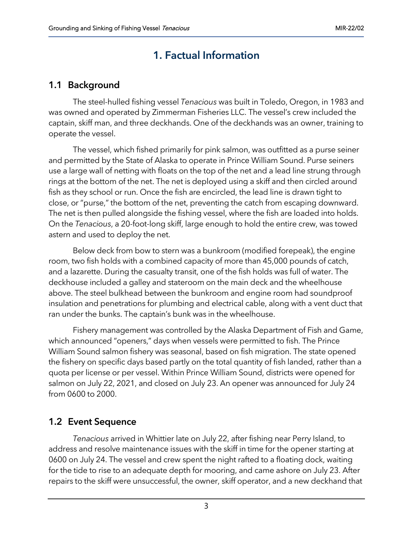# 1. Factual Information

### 1.1 Background

The steel-hulled fishing vessel *Tenacious* was built in Toledo, Oregon, in 1983 and was owned and operated by Zimmerman Fisheries LLC. The vessel's crew included the captain, skiff man, and three deckhands. One of the deckhands was an owner, training to operate the vessel.

The vessel, which fished primarily for pink salmon, was outfitted as a purse seiner and permitted by the State of Alaska to operate in Prince William Sound. Purse seiners use a large wall of netting with floats on the top of the net and a lead line strung through rings at the bottom of the net. The net is deployed using a skiff and then circled around fish as they school or run. Once the fish are encircled, the lead line is drawn tight to close, or "purse," the bottom of the net, preventing the catch from escaping downward. The net is then pulled alongside the fishing vessel, where the fish are loaded into holds. On the *Tenacious*, a 20-foot-long skiff, large enough to hold the entire crew, was towed astern and used to deploy the net.

Below deck from bow to stern was a bunkroom (modified forepeak), the engine room, two fish holds with a combined capacity of more than 45,000 pounds of catch, and a lazarette. During the casualty transit, one of the fish holds was full of water. The deckhouse included a galley and stateroom on the main deck and the wheelhouse above. The steel bulkhead between the bunkroom and engine room had soundproof insulation and penetrations for plumbing and electrical cable, along with a vent duct that ran under the bunks. The captain's bunk was in the wheelhouse.

Fishery management was controlled by the Alaska Department of Fish and Game, which announced "openers," days when vessels were permitted to fish. The Prince William Sound salmon fishery was seasonal, based on fish migration. The state opened the fishery on specific days based partly on the total quantity of fish landed, rather than a quota per license or per vessel. Within Prince William Sound, districts were opened for salmon on July 22, 2021, and closed on July 23. An opener was announced for July 24 from 0600 to 2000.

### 1.2 Event Sequence

*Tenacious* arrived in Whittier late on July 22, after fishing near Perry Island, to address and resolve maintenance issues with the skiff in time for the opener starting at 0600 on July 24. The vessel and crew spent the night rafted to a floating dock, waiting for the tide to rise to an adequate depth for mooring, and came ashore on July 23. After repairs to the skiff were unsuccessful, the owner, skiff operator, and a new deckhand that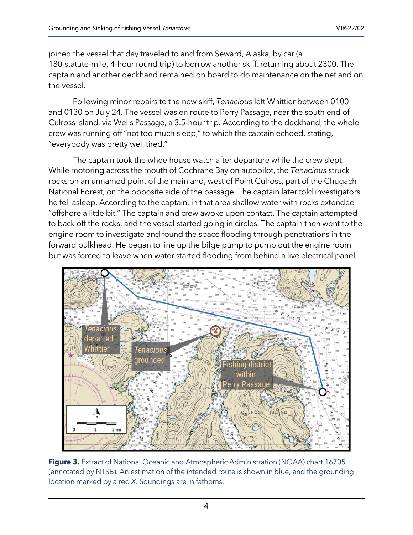joined the vessel that day traveled to and from Seward, Alaska, by car (a 180-statute-mile, 4-hour round trip) to borrow another skiff, returning about 2300. The captain and another deckhand remained on board to do maintenance on the net and on the vessel.

Following minor repairs to the new skiff, *Tenacious* left Whittier between 0100 and 0130 on July 24. The vessel was en route to Perry Passage, near the south end of Culross Island, via Wells Passage, a 3.5-hour trip. According to the deckhand, the whole crew was running off "not too much sleep," to which the captain echoed, stating, "everybody was pretty well tired."

The captain took the wheelhouse watch after departure while the crew slept. While motoring across the mouth of Cochrane Bay on autopilot, the *Tenacious* struck rocks on an unnamed point of the mainland, west of Point Culross, part of the Chugach National Forest, on the opposite side of the passage. The captain later told investigators he fell asleep. According to the captain, in that area shallow water with rocks extended "offshore a little bit." The captain and crew awoke upon contact. The captain attempted to back off the rocks, and the vessel started going in circles. The captain then went to the engine room to investigate and found the space flooding through penetrations in the forward bulkhead. He began to line up the bilge pump to pump out the engine room but was forced to leave when water started flooding from behind a live electrical panel.



**Figure 3.** Extract of National Oceanic and Atmospheric Administration (NOAA) chart 16705 (annotated by NTSB). An estimation of the intended route is shown in blue, and the grounding location marked by a red *X*. Soundings are in fathoms.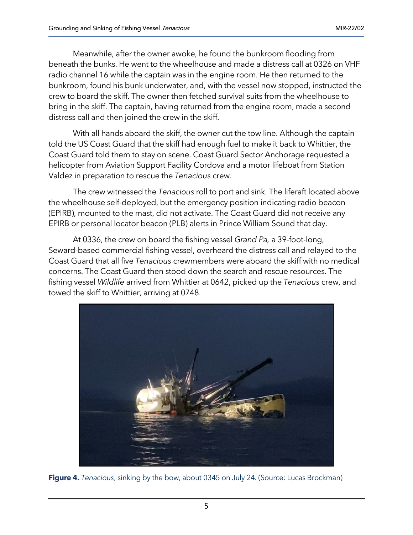Meanwhile, after the owner awoke, he found the bunkroom flooding from beneath the bunks. He went to the wheelhouse and made a distress call at 0326 on VHF radio channel 16 while the captain was in the engine room. He then returned to the bunkroom, found his bunk underwater, and, with the vessel now stopped, instructed the crew to board the skiff. The owner then fetched survival suits from the wheelhouse to bring in the skiff. The captain, having returned from the engine room, made a second distress call and then joined the crew in the skiff.

With all hands aboard the skiff, the owner cut the tow line. Although the captain told the US Coast Guard that the skiff had enough fuel to make it back to Whittier, the Coast Guard told them to stay on scene. Coast Guard Sector Anchorage requested a helicopter from Aviation Support Facility Cordova and a motor lifeboat from Station Valdez in preparation to rescue the *Tenacious* crew.

The crew witnessed the *Tenacious* roll to port and sink. The liferaft located above the wheelhouse self-deployed, but the emergency position indicating radio beacon (EPIRB), mounted to the mast, did not activate. The Coast Guard did not receive any EPIRB or personal locator beacon (PLB) alerts in Prince William Sound that day.

At 0336, the crew on board the fishing vessel *Grand Pa,* a 39-foot-long, Seward-based commercial fishing vessel, overheard the distress call and relayed to the Coast Guard that all five *Tenacious* crewmembers were aboard the skiff with no medical concerns. The Coast Guard then stood down the search and rescue resources. The fishing vessel *Wildlife* arrived from Whittier at 0642, picked up the *Tenacious* crew, and towed the skiff to Whittier, arriving at 0748.



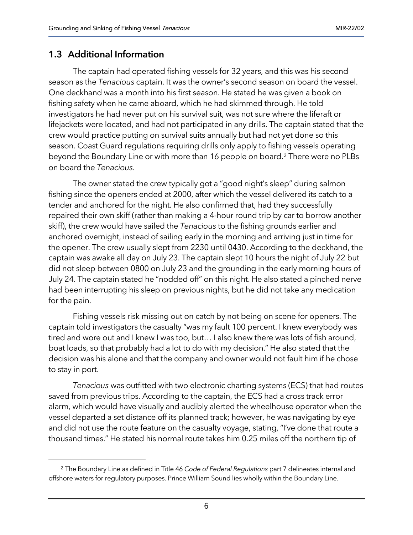#### 1.3 Additional Information

The captain had operated fishing vessels for 32 years, and this was his second season as the *Tenacious* captain. It was the owner's second season on board the vessel. One deckhand was a month into his first season. He stated he was given a book on fishing safety when he came aboard, which he had skimmed through. He told investigators he had never put on his survival suit, was not sure where the liferaft or lifejackets were located, and had not participated in any drills. The captain stated that the crew would practice putting on survival suits annually but had not yet done so this season. Coast Guard regulations requiring drills only apply to fishing vessels operating beyond the Boundary Line or with more than 16 people on board.[2](#page-5-0) There were no PLBs on board the *Tenacious*.

The owner stated the crew typically got a "good night's sleep" during salmon fishing since the openers ended at 2000, after which the vessel delivered its catch to a tender and anchored for the night. He also confirmed that, had they successfully repaired their own skiff (rather than making a 4-hour round trip by car to borrow another skiff), the crew would have sailed the *Tenacious* to the fishing grounds earlier and anchored overnight, instead of sailing early in the morning and arriving just in time for the opener. The crew usually slept from 2230 until 0430. According to the deckhand, the captain was awake all day on July 23. The captain slept 10 hours the night of July 22 but did not sleep between 0800 on July 23 and the grounding in the early morning hours of July 24. The captain stated he "nodded off" on this night. He also stated a pinched nerve had been interrupting his sleep on previous nights, but he did not take any medication for the pain.

Fishing vessels risk missing out on catch by not being on scene for openers. The captain told investigators the casualty "was my fault 100 percent. I knew everybody was tired and wore out and I knew I was too, but… I also knew there was lots of fish around, boat loads, so that probably had a lot to do with my decision." He also stated that the decision was his alone and that the company and owner would not fault him if he chose to stay in port.

*Tenacious* was outfitted with two electronic charting systems (ECS) that had routes saved from previous trips. According to the captain, the ECS had a cross track error alarm, which would have visually and audibly alerted the wheelhouse operator when the vessel departed a set distance off its planned track; however, he was navigating by eye and did not use the route feature on the casualty voyage, stating, "I've done that route a thousand times." He stated his normal route takes him 0.25 miles off the northern tip of

<span id="page-5-0"></span><sup>2</sup> The Boundary Line as defined in Title 46 *Code of Federal Regulations* part 7 delineates internal and offshore waters for regulatory purposes. Prince William Sound lies wholly within the Boundary Line.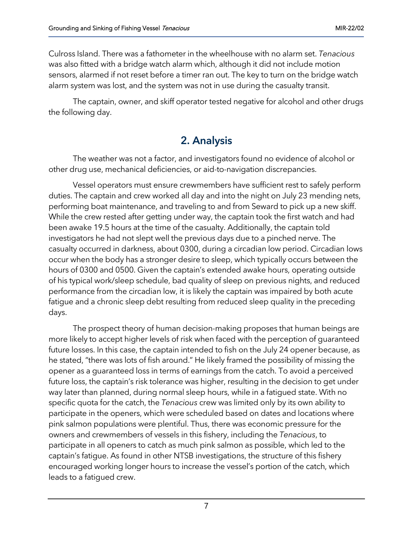Culross Island. There was a fathometer in the wheelhouse with no alarm set. *Tenacious* was also fitted with a bridge watch alarm which, although it did not include motion sensors, alarmed if not reset before a timer ran out. The key to turn on the bridge watch alarm system was lost, and the system was not in use during the casualty transit.

The captain, owner, and skiff operator tested negative for alcohol and other drugs the following day.

## 2. Analysis

The weather was not a factor, and investigators found no evidence of alcohol or other drug use, mechanical deficiencies, or aid-to-navigation discrepancies.

Vessel operators must ensure crewmembers have sufficient rest to safely perform duties. The captain and crew worked all day and into the night on July 23 mending nets, performing boat maintenance, and traveling to and from Seward to pick up a new skiff. While the crew rested after getting under way, the captain took the first watch and had been awake 19.5 hours at the time of the casualty. Additionally, the captain told investigators he had not slept well the previous days due to a pinched nerve. The casualty occurred in darkness, about 0300, during a circadian low period. Circadian lows occur when the body has a stronger desire to sleep, which typically occurs between the hours of 0300 and 0500. Given the captain's extended awake hours, operating outside of his typical work/sleep schedule, bad quality of sleep on previous nights, and reduced performance from the circadian low, it is likely the captain was impaired by both acute fatigue and a chronic sleep debt resulting from reduced sleep quality in the preceding days.

The prospect theory of human decision-making proposes that human beings are more likely to accept higher levels of risk when faced with the perception of guaranteed future losses. In this case, the captain intended to fish on the July 24 opener because, as he stated, "there was lots of fish around." He likely framed the possibility of missing the opener as a guaranteed loss in terms of earnings from the catch. To avoid a perceived future loss, the captain's risk tolerance was higher, resulting in the decision to get under way later than planned, during normal sleep hours, while in a fatigued state. With no specific quota for the catch, the *Tenacious* crew was limited only by its own ability to participate in the openers, which were scheduled based on dates and locations where pink salmon populations were plentiful. Thus, there was economic pressure for the owners and crewmembers of vessels in this fishery, including the *Tenacious*, to participate in all openers to catch as much pink salmon as possible, which led to the captain's fatigue. As found in other NTSB investigations, the structure of this fishery encouraged working longer hours to increase the vessel's portion of the catch, which leads to a fatigued crew.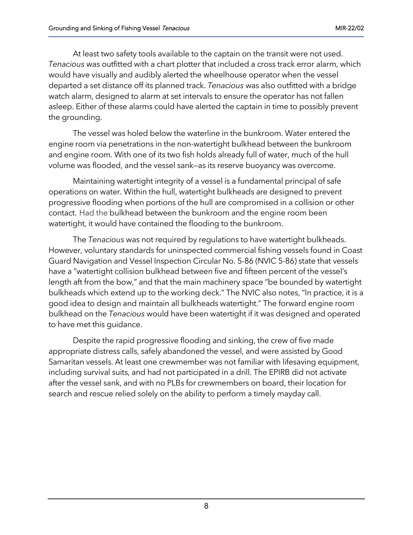At least two safety tools available to the captain on the transit were not used. *Tenacious* was outfitted with a chart plotter that included a cross track error alarm, which would have visually and audibly alerted the wheelhouse operator when the vessel departed a set distance off its planned track. *Tenacious* was also outfitted with a bridge watch alarm, designed to alarm at set intervals to ensure the operator has not fallen asleep. Either of these alarms could have alerted the captain in time to possibly prevent the grounding.

The vessel was holed below the waterline in the bunkroom. Water entered the engine room via penetrations in the non-watertight bulkhead between the bunkroom and engine room. With one of its two fish holds already full of water, much of the hull volume was flooded, and the vessel sank—as its reserve buoyancy was overcome.

Maintaining watertight integrity of a vessel is a fundamental principal of safe operations on water. Within the hull, watertight bulkheads are designed to prevent progressive flooding when portions of the hull are compromised in a collision or other contact. Had the bulkhead between the bunkroom and the engine room been watertight, it would have contained the flooding to the bunkroom.

The *Tenacious* was not required by regulations to have watertight bulkheads. However, voluntary standards for uninspected commercial fishing vessels found in Coast Guard Navigation and Vessel Inspection Circular No. 5-86 (NVIC 5-86) state that vessels have a "watertight collision bulkhead between five and fifteen percent of the vessel's length aft from the bow," and that the main machinery space "be bounded by watertight bulkheads which extend up to the working deck." The NVIC also notes, "In practice, it is a good idea to design and maintain all bulkheads watertight." The forward engine room bulkhead on the *Tenacious* would have been watertight if it was designed and operated to have met this guidance.

Despite the rapid progressive flooding and sinking, the crew of five made appropriate distress calls, safely abandoned the vessel, and were assisted by Good Samaritan vessels. At least one crewmember was not familiar with lifesaving equipment, including survival suits, and had not participated in a drill. The EPIRB did not activate after the vessel sank, and with no PLBs for crewmembers on board, their location for search and rescue relied solely on the ability to perform a timely mayday call.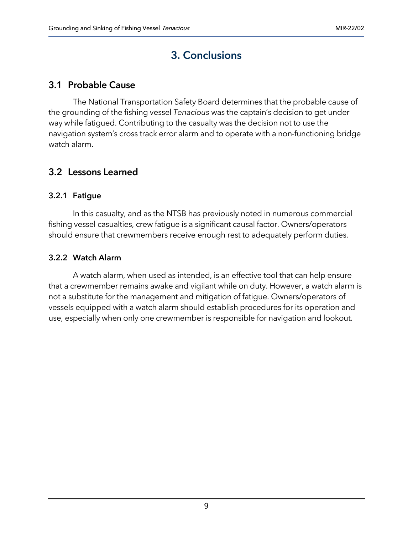# 3. Conclusions

### 3.1 Probable Cause

The National Transportation Safety Board determines that the probable cause of the grounding of the fishing vessel *Tenacious* was the captain's decision to get under way while fatigued. Contributing to the casualty was the decision not to use the navigation system's cross track error alarm and to operate with a non-functioning bridge watch alarm.

### 3.2 Lessons Learned

#### 3.2.1 Fatigue

In this casualty, and as the NTSB has previously noted in numerous commercial fishing vessel casualties, crew fatigue is a significant causal factor. Owners/operators should ensure that crewmembers receive enough rest to adequately perform duties.

#### 3.2.2 Watch Alarm

A watch alarm, when used as intended, is an effective tool that can help ensure that a crewmember remains awake and vigilant while on duty. However, a watch alarm is not a substitute for the management and mitigation of fatigue. Owners/operators of vessels equipped with a watch alarm should establish procedures for its operation and use, especially when only one crewmember is responsible for navigation and lookout.